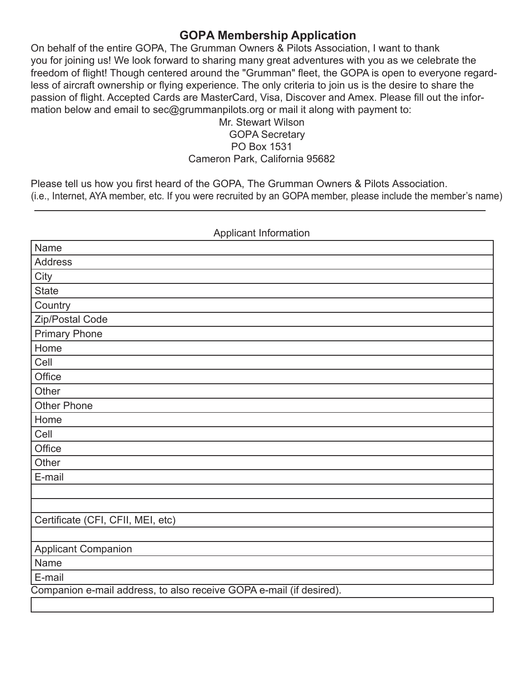# **GOPA Membership Application**

On behalf of the entire GOPA, The Grumman Owners & Pilots Association, I want to thank you for joining us! We look forward to sharing many great adventures with you as we celebrate the freedom of flight! Though centered around the "Grumman" fleet, the GOPA is open to everyone regardless of aircraft ownership or flying experience. The only criteria to join us is the desire to share the passion of flight. Accepted Cards are MasterCard, Visa, Discover and Amex. Please fill out the information below and email to sec@grummanpilots.org or mail it along with payment to:

## Mr. Stewart Wilson GOPA Secretary PO Box 1531 Cameron Park, California 95682

Please tell us how you first heard of the GOPA, The Grumman Owners & Pilots Association. (i.e., Internet, AYA member, etc. If you were recruited by an GOPA member, please include the member's name)

| Applicant information                                               |
|---------------------------------------------------------------------|
| Name                                                                |
| <b>Address</b>                                                      |
| City                                                                |
| <b>State</b>                                                        |
| Country                                                             |
| Zip/Postal Code                                                     |
| <b>Primary Phone</b>                                                |
| Home                                                                |
| Cell                                                                |
| Office                                                              |
| Other                                                               |
| <b>Other Phone</b>                                                  |
| Home                                                                |
| Cell                                                                |
| Office                                                              |
| Other                                                               |
| E-mail                                                              |
|                                                                     |
|                                                                     |
| Certificate (CFI, CFII, MEI, etc)                                   |
|                                                                     |
| <b>Applicant Companion</b>                                          |
| Name                                                                |
| E-mail                                                              |
| Companion e-mail address, to also receive GOPA e-mail (if desired). |
|                                                                     |

## Applicant Information